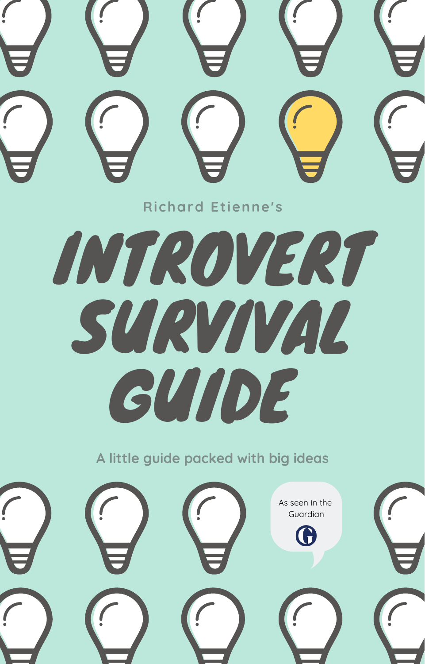

**A little guide packed with big ideas**

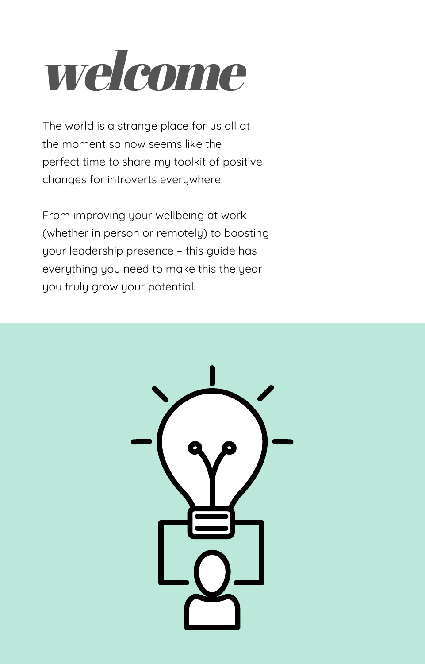## welcome

The world is a strange place for us all at the moment so now seems like the perfect time to share my toolkit of positive changes for introverts everywhere.

From improving your wellbeing at work (whether in person or remotely) to boosting your leadership presence – this guide has everything you need to make this the year you truly grow your potential.

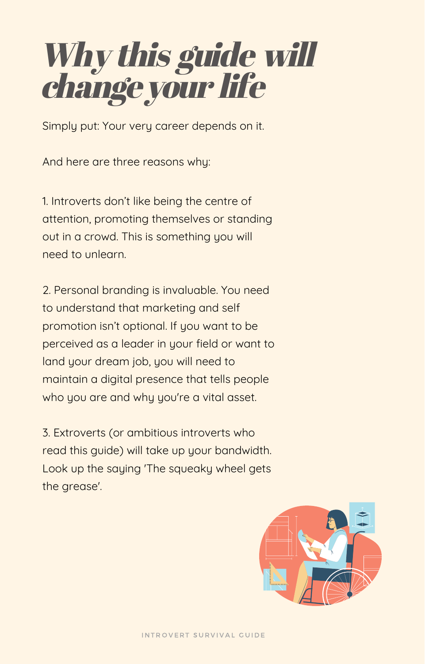### Why this guide will changeyour life

Simply put: Your very career depends on it.

And here are three reasons why:

1. Introverts don't like being the centre of attention, promoting themselves or standing out in a crowd. This is something you will need to unlearn.

2. Personal branding is invaluable. You need to understand that marketing and self promotion isn't optional. If you want to be perceived as a leader in your field or want to land your dream job, you will need to maintain a digital presence that tells people who you are and why you're a vital asset.

3. Extroverts (or ambitious introverts who read this guide) will take up your bandwidth. Look up the saying 'The squeaky wheel gets the grease'.

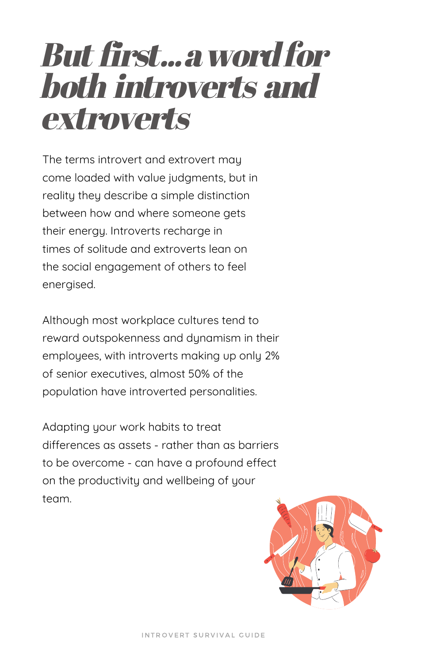### But first...awordfor both introverts and extroverts

The terms introvert and extrovert may come loaded with value judgments, but in reality they describe a simple distinction between how and where someone gets their energy. Introverts recharge in times of solitude and extroverts lean on the social engagement of others to feel energised.

Although most workplace cultures tend to reward outspokenness and dynamism in their employees, with introverts making up only 2% of senior executives, almost 50% of the population have introverted personalities.

Adapting your work habits to treat differences as assets - rather than as barriers to be overcome - can have a profound effect on the productivity and wellbeing of your team.

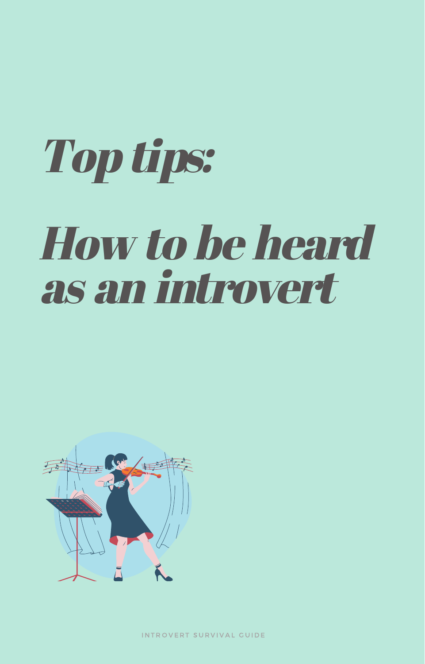# Top tips: How to be heard as an introvert



INTROVERT SURVIVAL GUIDE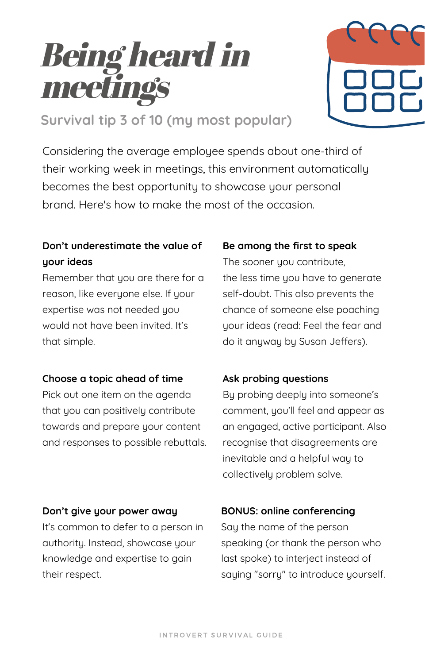### Being heard in meetings



**Survival tip 3 of 10 (my most popular)**

Considering the average employee spends about one-third of their working week in meetings, this environment automatically becomes the best opportunity to showcase your personal brand. Here's how to make the most of the occasion.

### **Don't underestimate the value of your ideas**

Remember that you are there for a reason, like everyone else. If your expertise was not needed you would not have been invited. It's that simple.

#### **Choose a topic ahead of time**

Pick out one item on the agenda that you can positively contribute towards and prepare your content and responses to possible rebuttals.

### **Be among the first to speak**

The sooner you contribute, the less time you have to generate self-doubt. This also prevents the chance of someone else poaching your ideas (read: Feel the fear and do it anyway by Susan Jeffers).

### **Ask probing questions**

By probing deeply into someone's comment, you'll feel and appear as an engaged, active participant. Also recognise that disagreements are inevitable and a helpful way to collectively problem solve.

#### **Don't give your power away**

It's common to defer to a person in authority. Instead, showcase your knowledge and expertise to gain their respect.

#### **BONUS: online conferencing**

Say the name of the person speaking (or thank the person who last spoke) to interject instead of saying "sorry" to introduce yourself.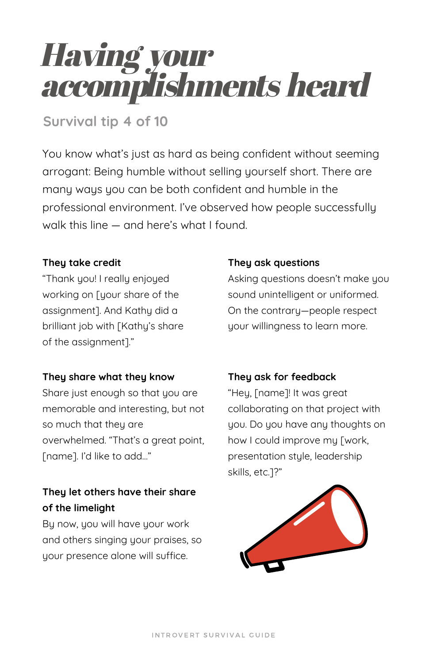### Having your accomplishments heard

### **Survival tip 4 of 10**

You know what's just as hard as being confident without seeming arrogant: Being humble without selling yourself short. There are many ways you can be both confident and humble in the professional environment. I've observed how people successfully walk this line — and here's what I found.

### **They take credit**

"Thank you! I really enjoyed working on [your share of the assignment]. And Kathy did a brilliant job with [Kathy's share of the assignment]."

### **They share what they know**

Share just enough so that you are memorable and interesting, but not so much that they are overwhelmed. "That's a great point, [name]. I'd like to add…"

### **They let others have their share of the limelight**

By now, you will have your work and others singing your praises, so your presence alone will suffice.

#### **They ask questions**

Asking questions doesn't make you sound unintelligent or uniformed. On the contrary—people respect your willingness to learn more.

### **They ask for feedback**

"Hey, [name]! It was great collaborating on that project with you. Do you have any thoughts on how I could improve my [work, presentation style, leadership skills, etc.]?"

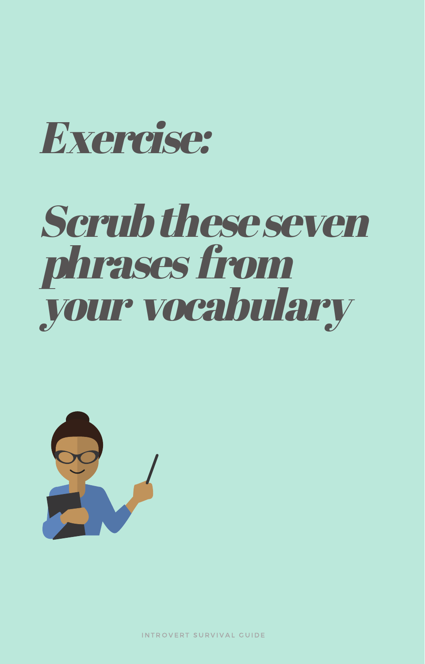

## Scrubtheseseven phrases from your vocabulary



INTROVERT SURVIVAL GUIDE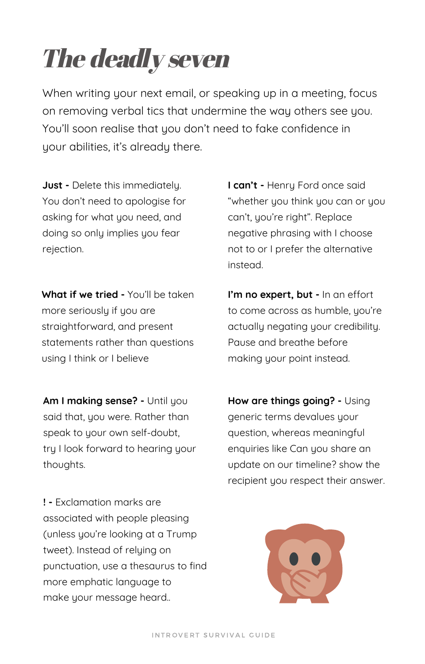### The deadly seven

When writing your next email, or speaking up in a meeting, focus on removing verbal tics that undermine the way others see you. You'll soon realise that you don't need to fake confidence in your abilities, it's already there.

**Just -** Delete this immediately. You don't need to apologise for asking for what you need, and doing so only implies you fear rejection.

**What if we tried -** You'll be taken more seriouslu if you are straightforward, and present statements rather than questions using Ithink or I believe

**Am I making sense? -** Until you said that, you were. Rather than speak to your own self-doubt, try I look forward to hearing your thoughts.

**! -** Exclamation marks are associated with people pleasing (unless you're looking at a Trump tweet). Instead of relying on punctuation, use a thesaurus to find more emphatic language to make your message heard..

**I can't -** Henry Ford once said "whether you think you can or you can't, you're right". Replace negative phrasing with I choose not to or I prefer the alternative instead.

**I'm no expert, but -** In an effort to come across as humble, you're actually negating your credibility. Pause and breathe before making your point instead.

**How are things going? -** Using generic terms devalues your question, whereas meaningful enquiries like Can you share an update on our timeline? show the recipient you respect their answer.